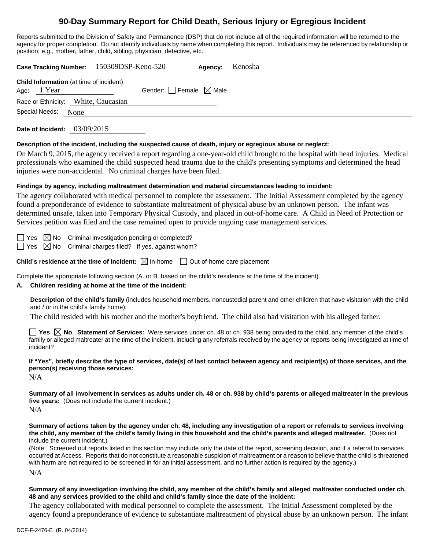# **90-Day Summary Report for Child Death, Serious Injury or Egregious Incident**

Reports submitted to the Division of Safety and Permanence (DSP) that do not include all of the required information will be returned to the agency for proper completion. Do not identify individuals by name when completing this report. Individuals may be referenced by relationship or

| position; e.g., mother, father, child, sibling, physician, detective, etc.                                                                                                                                                                                                                                                                                                                                                                                                                                                                                                                          |  |  |  |  |  |
|-----------------------------------------------------------------------------------------------------------------------------------------------------------------------------------------------------------------------------------------------------------------------------------------------------------------------------------------------------------------------------------------------------------------------------------------------------------------------------------------------------------------------------------------------------------------------------------------------------|--|--|--|--|--|
| Case Tracking Number: 150309DSP-Keno-520<br>Kenosha<br>Agency:                                                                                                                                                                                                                                                                                                                                                                                                                                                                                                                                      |  |  |  |  |  |
| Child Information (at time of incident)<br>Age: 1 Year<br>Gender: Female $\boxtimes$ Male<br>Race or Ethnicity: White, Caucasian                                                                                                                                                                                                                                                                                                                                                                                                                                                                    |  |  |  |  |  |
| Special Needs:<br>None                                                                                                                                                                                                                                                                                                                                                                                                                                                                                                                                                                              |  |  |  |  |  |
| Date of Incident: $03/09/2015$                                                                                                                                                                                                                                                                                                                                                                                                                                                                                                                                                                      |  |  |  |  |  |
| Description of the incident, including the suspected cause of death, injury or egregious abuse or neglect:<br>On March 9, 2015, the agency received a report regarding a one-year-old child brought to the hospital with head injuries. Medical<br>professionals who examined the child suspected head trauma due to the child's presenting symptoms and determined the head<br>injuries were non-accidental. No criminal charges have been filed.                                                                                                                                                  |  |  |  |  |  |
| Findings by agency, including maltreatment determination and material circumstances leading to incident:<br>The agency collaborated with medical personnel to complete the assessment. The Initial Assessment completed by the agency<br>found a preponderance of evidence to substantiate maltreatment of physical abuse by an unknown person. The infant was<br>determined unsafe, taken into Temporary Physical Custody, and placed in out-of-home care. A Child in Need of Protection or<br>Services petition was filed and the case remained open to provide ongoing case management services. |  |  |  |  |  |
| Criminal investigation pending or completed?<br>Yes $\boxtimes$ No<br>Criminal charges filed? If yes, against whom?<br>$\boxtimes$ No<br>Yes                                                                                                                                                                                                                                                                                                                                                                                                                                                        |  |  |  |  |  |
| <b>Child's residence at the time of incident:</b> $\boxtimes$ In-home $\Box$ Out-of-home care placement                                                                                                                                                                                                                                                                                                                                                                                                                                                                                             |  |  |  |  |  |
| Complete the appropriate following section (A. or B. based on the child's residence at the time of the incident).<br>Children residing at home at the time of the incident:<br>А.                                                                                                                                                                                                                                                                                                                                                                                                                   |  |  |  |  |  |
| Description of the child's family (includes household members, noncustodial parent and other children that have visitation with the child<br>and / or in the child's family home):                                                                                                                                                                                                                                                                                                                                                                                                                  |  |  |  |  |  |
| The child resided with his mother and the mother's boyfriend. The child also had visitation with his alleged father.                                                                                                                                                                                                                                                                                                                                                                                                                                                                                |  |  |  |  |  |
| Yes $\boxtimes$ No Statement of Services: Were services under ch. 48 or ch. 938 being provided to the child, any member of the child's<br>family or alleged maltreater at the time of the incident, including any referrals received by the agency or reports being investigated at time of<br>incident?                                                                                                                                                                                                                                                                                            |  |  |  |  |  |
| If "Yes", briefly describe the type of services, date(s) of last contact between agency and recipient(s) of those services, and the<br>person(s) receiving those services:<br>N/A                                                                                                                                                                                                                                                                                                                                                                                                                   |  |  |  |  |  |
| Summary of all involvement in services as adults under ch. 48 or ch. 938 by child's parents or alleged maltreater in the previous<br>five years: (Does not include the current incident.)<br>N/A                                                                                                                                                                                                                                                                                                                                                                                                    |  |  |  |  |  |
| Summary of actions taken by the agency under ch. 48, including any investigation of a report or referrals to services involving<br>the child, any member of the child's family living in this household and the child's parents and alleged maltreater. (Does not<br>include the current incident.)                                                                                                                                                                                                                                                                                                 |  |  |  |  |  |
| (Note: Screened out reports listed in this section may include only the date of the report, screening decision, and if a referral to services<br>occurred at Access. Reports that do not constitute a reasonable suspicion of maltreatment or a reason to believe that the child is threatened<br>with harm are not required to be screened in for an initial assessment, and no further action is required by the agency.)                                                                                                                                                                         |  |  |  |  |  |
| N/A                                                                                                                                                                                                                                                                                                                                                                                                                                                                                                                                                                                                 |  |  |  |  |  |

## **Summary of any investigation involving the child, any member of the child's family and alleged maltreater conducted under ch. 48 and any services provided to the child and child's family since the date of the incident:**

The agency collaborated with medical personnel to complete the assessment. The Initial Assessment completed by the agency found a preponderance of evidence to substantiate maltreatment of physical abuse by an unknown person. The infant